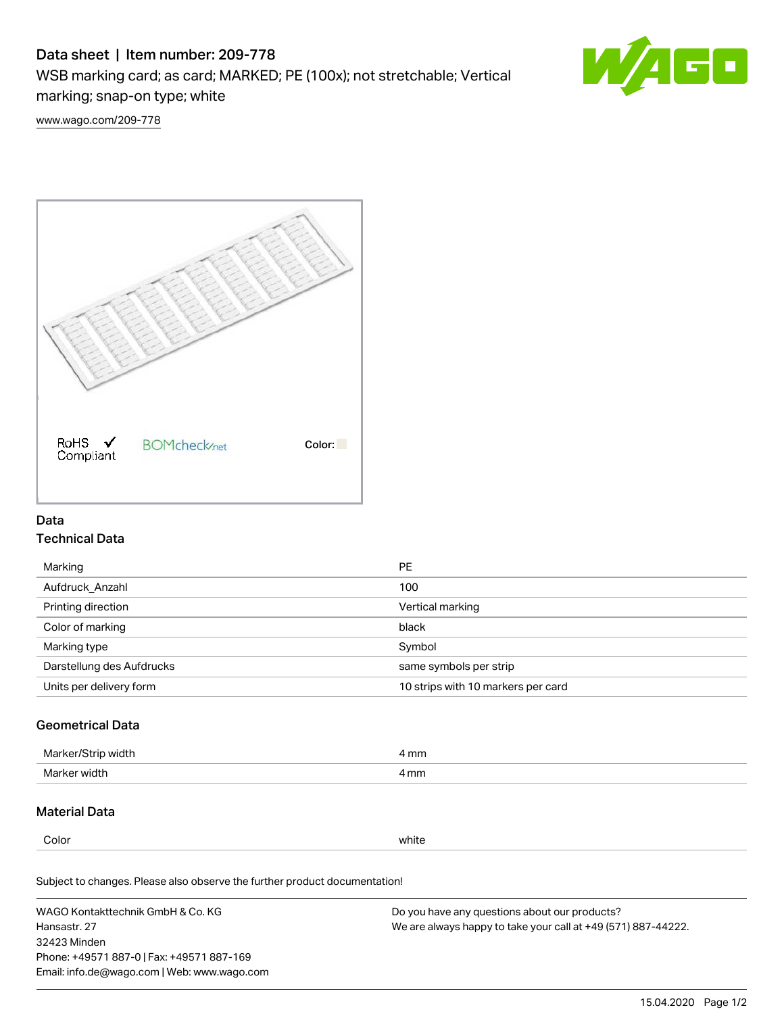# Data sheet | Item number: 209-778

WSB marking card; as card; MARKED; PE (100x); not stretchable; Vertical

marking; snap-on type; white



[www.wago.com/209-778](http://www.wago.com/209-778)



## Data Technical Data

| Marking                   | PE                                 |
|---------------------------|------------------------------------|
| Aufdruck Anzahl           | 100                                |
| Printing direction        | Vertical marking                   |
| Color of marking          | black                              |
| Marking type              | Symbol                             |
| Darstellung des Aufdrucks | same symbols per strip             |
| Units per delivery form   | 10 strips with 10 markers per card |
|                           |                                    |

## Geometrical Data

| Ma<br>width                            | mm<br>. |
|----------------------------------------|---------|
| Marke<br>widtl<br>$\sim$ $\sim$ $\sim$ | 4 mm    |

### Material Data

Color white

Subject to changes. Please also observe the further product documentation!

WAGO Kontakttechnik GmbH & Co. KG Hansastr. 27 32423 Minden Phone: +49571 887-0 | Fax: +49571 887-169 Email: info.de@wago.com | Web: www.wago.com Do you have any questions about our products? We are always happy to take your call at +49 (571) 887-44222.